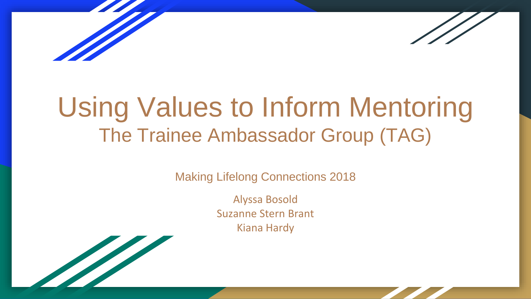

# Using Values to Inform Mentoring The Trainee Ambassador Group (TAG)

Making Lifelong Connections 2018

Alyssa Bosold Suzanne Stern Brant Kiana Hardy

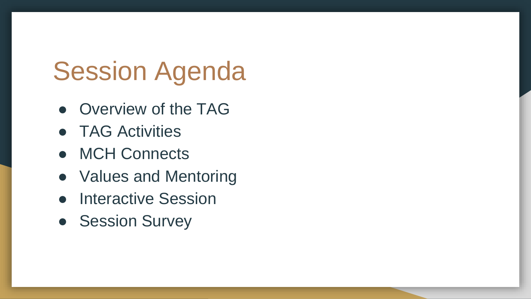# Session Agenda

- Overview of the TAG
- TAG Activities
- MCH Connects
- Values and Mentoring
- Interactive Session
- Session Survey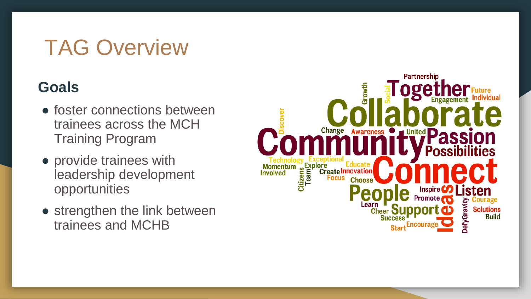## TAG Overview

### **Goals**

- foster connections between trainees across the MCH Training Program
- provide trainees with leadership development opportunities
- strengthen the link between trainees and MCHB

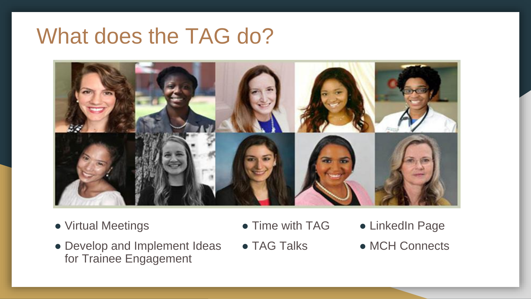## What does the TAG do?



- Virtual Meetings
- Develop and Implement Ideas for Trainee Engagement
- Time with TAG
- $\bullet$  TAG Talks
- LinkedIn Page
- MCH Connects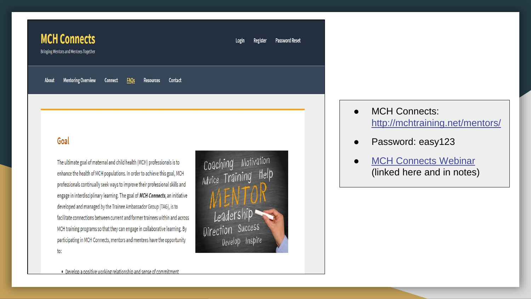| <b>MCH Connects</b><br><b>Bringing Mentors and Mentees Together</b> |                           |                |             |                  |         | Login | Register | <b>Password Reset</b> |
|---------------------------------------------------------------------|---------------------------|----------------|-------------|------------------|---------|-------|----------|-----------------------|
| <b>About</b>                                                        | <b>Mentoring Overview</b> | <b>Connect</b> | <b>FAQs</b> | <b>Resources</b> | Contact |       |          |                       |

### Goal

The ultimate goal of maternal and child health (MCH) professionals is to enhance the health of MCH populations. In order to achieve this goal, MCH professionals continually seek ways to improve their professional skills and engage in interdisciplinary learning. The goal of MCH Connects, an initiative developed and managed by the Trainee Ambassador Group (TAG), is to facilitate connections between current and former trainees within and across MCH training programs so that they can engage in collaborative learning. By participating in MCH Connects, mentors and mentees have the opportunity to:



**MCH Connects:** <http://mchtraining.net/mentors/>

- Password: easy123
- **[MCH Connects Webinar](https://www.mchnavigator.org/trainings/detail.php?id=1994)** (linked here and in notes)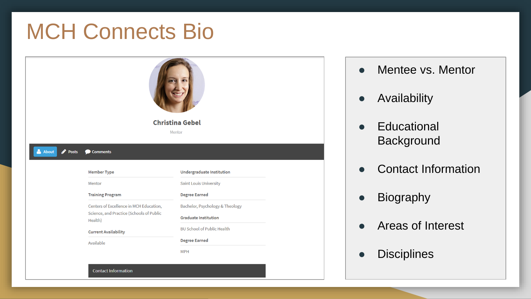## MCH Connects Bio

**Contact Information** 

| <b>Christina Gebel</b><br>Mentor |                                          |                                   |  |  |  |  |  |  |  |
|----------------------------------|------------------------------------------|-----------------------------------|--|--|--|--|--|--|--|
| About<br><b>Posts</b>            | Comments                                 |                                   |  |  |  |  |  |  |  |
|                                  |                                          |                                   |  |  |  |  |  |  |  |
|                                  | <b>Member Type</b>                       | Undergraduate Institution         |  |  |  |  |  |  |  |
|                                  | Mentor                                   | <b>Saint Louis University</b>     |  |  |  |  |  |  |  |
|                                  | <b>Training Program</b>                  | <b>Degree Earned</b>              |  |  |  |  |  |  |  |
|                                  | Centers of Excellence in MCH Education,  | Bachelor, Psychology & Theology   |  |  |  |  |  |  |  |
|                                  | Science, and Practice (Schools of Public | <b>Graduate Institution</b>       |  |  |  |  |  |  |  |
|                                  | Health)                                  | <b>BU School of Public Health</b> |  |  |  |  |  |  |  |
|                                  | <b>Current Availability</b><br>Available | <b>Degree Earned</b>              |  |  |  |  |  |  |  |

- Mentee vs. Mentor
- Availability
- Educational **Background**
- Contact Information
- Biography
- Areas of Interest
- Disciplines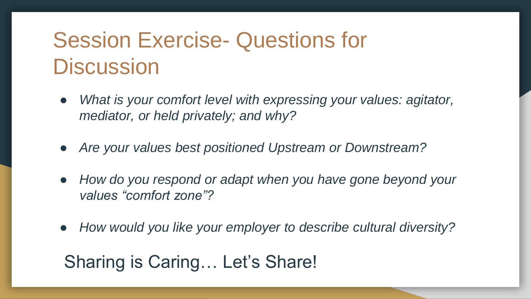## Session Exercise- Questions for **Discussion**

- *What is your comfort level with expressing your values: agitator, mediator, or held privately; and why?*
- *Are your values best positioned Upstream or Downstream?*
- *How do you respond or adapt when you have gone beyond your values "comfort zone"?*
- *How would you like your employer to describe cultural diversity?*

### Sharing is Caring… Let's Share!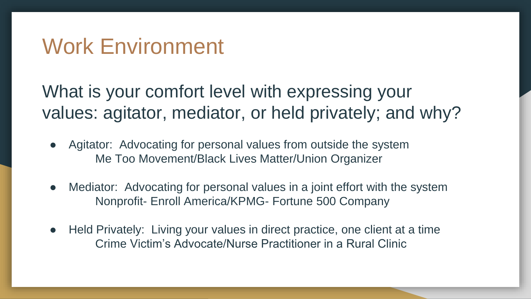## Work Environment

What is your comfort level with expressing your values: agitator, mediator, or held privately; and why?

- Agitator: Advocating for personal values from outside the system Me Too Movement/Black Lives Matter/Union Organizer
- Mediator: Advocating for personal values in a joint effort with the system Nonprofit- Enroll America/KPMG- Fortune 500 Company
- Held Privately: Living your values in direct practice, one client at a time Crime Victim's Advocate/Nurse Practitioner in a Rural Clinic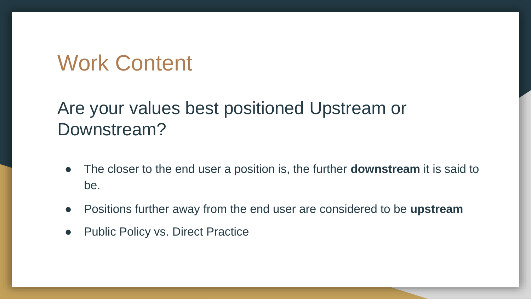## Work Content

## Are your values best positioned Upstream or Downstream?

- The closer to the end user a position is, the further **downstream** it is said to be.
- Positions further away from the end user are considered to be **upstream**
- Public Policy vs. Direct Practice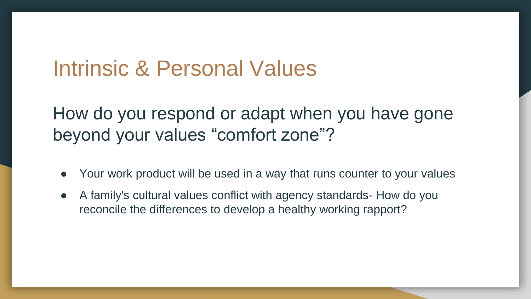## Intrinsic & Personal Values

## How do you respond or adapt when you have gone beyond your values "comfort zone"?

- Your work product will be used in a way that runs counter to your values
- A family's cultural values conflict with agency standards- How do you reconcile the differences to develop a healthy working rapport?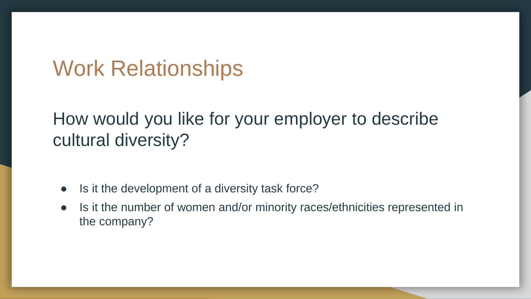## Work Relationships

## How would you like for your employer to describe cultural diversity?

- Is it the development of a diversity task force?
- Is it the number of women and/or minority races/ethnicities represented in the company?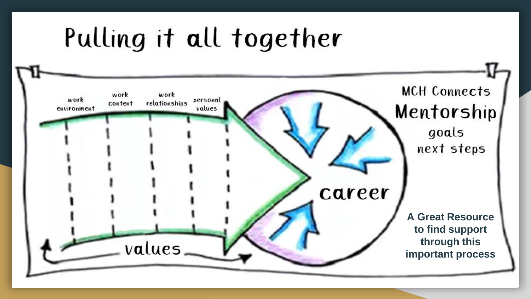# Pulling it all together

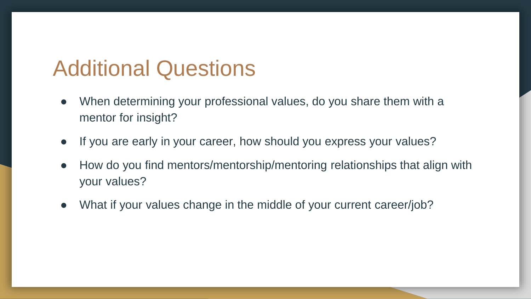## Additional Questions

- When determining your professional values, do you share them with a mentor for insight?
- If you are early in your career, how should you express your values?
- How do you find mentors/mentorship/mentoring relationships that align with your values?
- What if your values change in the middle of your current career/job?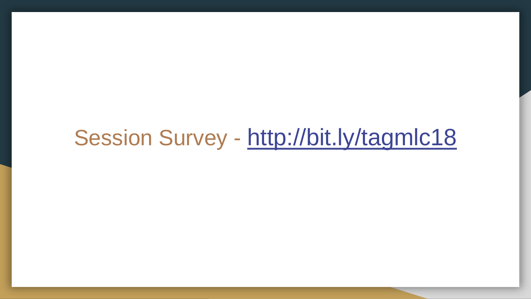## Session Survey - <http://bit.ly/tagmlc18>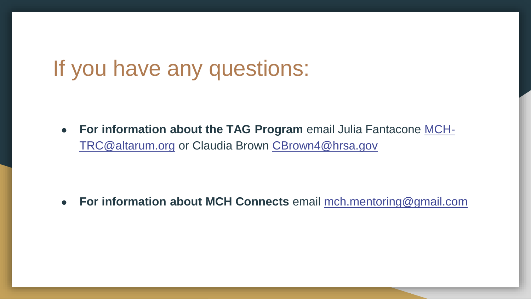## If you have any questions:

● **For information about the TAG Program** email Julia Fantacone MCHTRC@altarum.org [or Claudia Brown CBrown4@hrsa.gov](mailto:MCH-TRC@altarum.org)

● **For information about MCH Connects** email [mch.mentoring@gmail.com](mailto:mch.mentoring@gmail.com)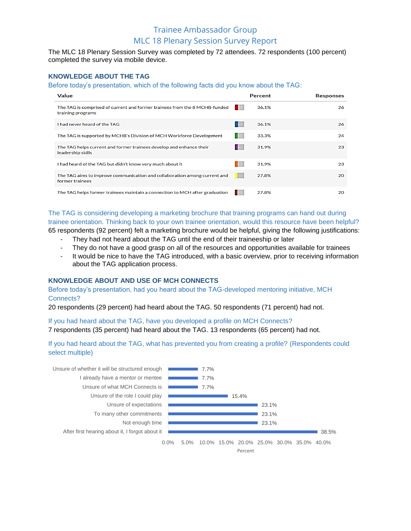### Trainee Ambassador Group MLC 18 Plenary Session Survey Report

The MLC 18 Plenary Session Survey was completed by 72 attendees. 72 respondents (100 percent) completed the survey via mobile device.

#### **KNOWLEDGE ABOUT THE TAG**

Before today's presentation, which of the following facts did you know about the TAG:

| <b>Value</b>                                                                                    | Percent | <b>Responses</b> |
|-------------------------------------------------------------------------------------------------|---------|------------------|
| The TAG is comprised of current and former trainees from the 8 MCHB-funded<br>training programs | 36.1%   | 26               |
| I had never heard of the TAG                                                                    | 36.1%   | 26               |
| The TAG is supported by MCHB's Division of MCH Workforce Development                            | 33.3%   | 24               |
| The TAG helps current and former trainees develop and enhance their<br>leadership skills        | 31.9%   | 23               |
| I had heard of the TAG but didn't know very much about it                                       | 31.9%   | 23               |
| The TAG aims to improve communication and collaboration among current and<br>former trainees    | 27.8%   | 20               |
| The TAG helps former trainees maintain a connection to MCH after graduation                     | 27.8%   | 20               |

The TAG is considering developing a marketing brochure that training programs can hand out during trainee orientation. Thinking back to your own trainee orientation, would this resource have been helpful? 65 respondents (92 percent) felt a marketing brochure would be helpful, giving the following justifications:

- They had not heard about the TAG until the end of their traineeship or later
- They do not have a good grasp on all of the resources and opportunities available for trainees
- It would be nice to have the TAG introduced, with a basic overview, prior to receiving information about the TAG application process.

### **KNOWLEDGE ABOUT AND USE OF MCH CONNECTS**

Before today's presentation, had you heard about the TAG-developed mentoring initiative, MCH Connects?

20 respondents (29 percent) had heard about the TAG. 50 respondents (71 percent) had not.

If you had heard about the TAG, have you developed a profile on MCH Connects?

7 respondents (35 percent) had heard about the TAG. 13 respondents (65 percent) had not.

If you had heard about the TAG, what has prevented you from creating a profile? (Respondents could select multiple)